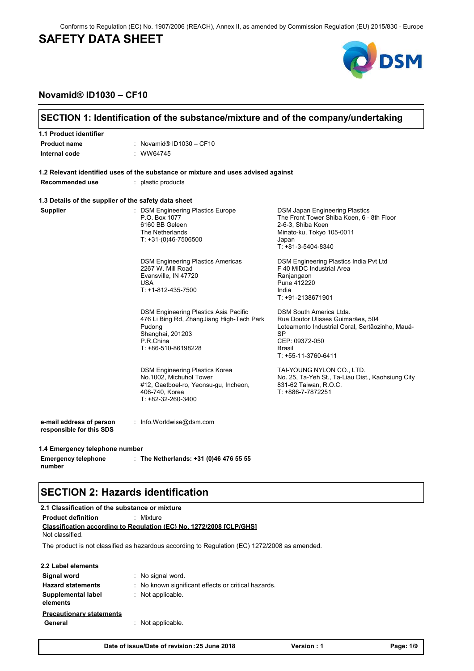Conforms to Regulation (EC) No. 1907/2006 (REACH), Annex II, as amended by Commission Regulation (EU) 2015/830 - Europe

# **SAFETY DATA SHEET**



### **Novamid® ID1030 – CF10**

| 1.1 Product identifier                               |                                                                                                                                                      |                                                                                                                                                                          |
|------------------------------------------------------|------------------------------------------------------------------------------------------------------------------------------------------------------|--------------------------------------------------------------------------------------------------------------------------------------------------------------------------|
| <b>Product name</b>                                  | : Novamid® ID1030 - CF10                                                                                                                             |                                                                                                                                                                          |
| Internal code                                        | : WW64745                                                                                                                                            |                                                                                                                                                                          |
|                                                      | 1.2 Relevant identified uses of the substance or mixture and uses advised against                                                                    |                                                                                                                                                                          |
| Recommended use                                      | : plastic products                                                                                                                                   |                                                                                                                                                                          |
| 1.3 Details of the supplier of the safety data sheet |                                                                                                                                                      |                                                                                                                                                                          |
| <b>Supplier</b>                                      | : DSM Engineering Plastics Europe<br>P.O. Box 1077<br>6160 BB Geleen<br>The Netherlands<br>$T: +31-(0)46-7506500$                                    | <b>DSM Japan Engineering Plastics</b><br>The Front Tower Shiba Koen, 6 - 8th Floor<br>2-6-3, Shiba Koen<br>Minato-ku, Tokyo 105-0011<br>Japan<br>$T: +81-3-5404-8340$    |
|                                                      | <b>DSM Engineering Plastics Americas</b><br>2267 W. Mill Road<br>Evansville, IN 47720<br>USA<br>T: +1-812-435-7500                                   | DSM Engineering Plastics India Pvt Ltd<br>F 40 MIDC Industrial Area<br>Ranjangaon<br>Pune 412220<br>India<br>T: +91-2138671901                                           |
|                                                      | DSM Engineering Plastics Asia Pacific<br>476 Li Bing Rd, ZhangJiang High-Tech Park<br>Pudong<br>Shanghai, 201203<br>P.R.China<br>T: +86-510-86198228 | DSM South America Ltda.<br>Rua Doutor Ulisses Guimarães, 504<br>Loteamento Industrial Coral, Sertãozinho, Mauá-<br>SP<br>CEP: 09372-050<br>Brasil<br>T: +55-11-3760-6411 |
|                                                      | <b>DSM Engineering Plastics Korea</b><br>No.1002, Michuhol Tower<br>#12, Gaetboel-ro, Yeonsu-gu, Incheon,<br>406-740, Korea<br>T: +82-32-260-3400    | TAI-YOUNG NYLON CO., LTD.<br>No. 25, Ta-Yeh St., Ta-Liau Dist., Kaohsiung City<br>831-62 Taiwan, R.O.C.<br>T: +886-7-7872251                                             |
| e-mail address of person<br>responsible for this SDS | : Info. Worldwise@dsm.com                                                                                                                            |                                                                                                                                                                          |
| 1.4 Emergency telephone number                       |                                                                                                                                                      |                                                                                                                                                                          |
| <b>Emergency telephone</b><br>number                 | : The Netherlands: $+31$ (0)46 476 55 55                                                                                                             |                                                                                                                                                                          |
| <b>SECTION 2: Hazards identification</b>             |                                                                                                                                                      |                                                                                                                                                                          |
| 2.1 Classification of the substance or mixture       |                                                                                                                                                      |                                                                                                                                                                          |
| <b>Product definition</b><br>Not classified.         | : Mixture<br><b>Classification according to Regulation (EC) No. 1272/2008 [CLP/GHS]</b>                                                              |                                                                                                                                                                          |
|                                                      | The product is not classified as hazardous according to Regulation (EC) 1272/2008 as amended.                                                        |                                                                                                                                                                          |
| 2.2 Label elements                                   |                                                                                                                                                      |                                                                                                                                                                          |
| Signal word                                          | : No signal word.                                                                                                                                    |                                                                                                                                                                          |
| <b>Hazard statements</b>                             | No known significant effects or critical hazards.                                                                                                    |                                                                                                                                                                          |
| Supplemental label<br>elements                       | : Not applicable.                                                                                                                                    |                                                                                                                                                                          |
| <b>Precautionary statements</b>                      |                                                                                                                                                      |                                                                                                                                                                          |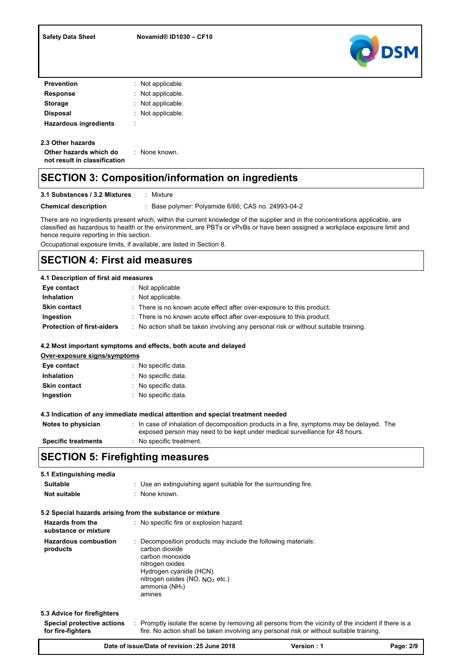

| <b>Prevention</b>            |        | : Not applicable.   |
|------------------------------|--------|---------------------|
| <b>Response</b>              |        | : Not applicable.   |
| <b>Storage</b>               |        | $:$ Not applicable. |
| <b>Disposal</b>              |        | : Not applicable.   |
| <b>Hazardous ingredients</b> | ٠<br>٠ |                     |

### **2.3 Other hazards**

| Other hazards which do       | : None known. |
|------------------------------|---------------|
| not result in classification |               |

## **SECTION 3: Composition/information on ingredients**

### **3.1 Substances / 3.2 Mixtures : Mixture**

**Chemical description** : Base polymer: Polyamide 6/66; CAS no. 24993-04-2

There are no ingredients present which, within the current knowledge of the supplier and in the concentrations applicable, are classified as hazardous to health or the environment, are PBTs or vPvBs or have been assigned a workplace exposure limit and hence require reporting in this section.

Occupational exposure limits, if available, are listed in Section 8.

## **SECTION 4: First aid measures**

### **4.1 Description of first aid measures**

| Eye contact                       | : Not applicable                                                                     |
|-----------------------------------|--------------------------------------------------------------------------------------|
| <b>Inhalation</b>                 | $\therefore$ Not applicable.                                                         |
| <b>Skin contact</b>               | : There is no known acute effect after over-exposure to this product.                |
| Ingestion                         | : There is no known acute effect after over-exposure to this product.                |
| <b>Protection of first-aiders</b> | : No action shall be taken involving any personal risk or without suitable training. |

### **4.2 Most important symptoms and effects, both acute and delayed**

| Over-exposure signs/symptoms |                     |  |  |
|------------------------------|---------------------|--|--|
| Eye contact                  | : No specific data. |  |  |
| <b>Inhalation</b>            | : No specific data. |  |  |
| <b>Skin contact</b>          | : No specific data. |  |  |
| Ingestion                    | : No specific data. |  |  |

#### **4.3 Indication of any immediate medical attention and special treatment needed**

| Notes to physician         | In case of inhalation of decomposition products in a fire, symptoms may be delayed. The<br>exposed person may need to be kept under medical surveillance for 48 hours. |
|----------------------------|------------------------------------------------------------------------------------------------------------------------------------------------------------------------|
| <b>Specific treatments</b> | No specific treatment.                                                                                                                                                 |

## **SECTION 5: Firefighting measures**

| 5.1 Extinguishing media<br><b>Suitable</b><br>Not suitable                     | : Use an extinguishing agent suitable for the surrounding fire.<br>: None known.                                                                                                                                           |
|--------------------------------------------------------------------------------|----------------------------------------------------------------------------------------------------------------------------------------------------------------------------------------------------------------------------|
| 5.2 Special hazards arising from the substance or mixture                      |                                                                                                                                                                                                                            |
| Hazards from the<br>substance or mixture                                       | : No specific fire or explosion hazard.                                                                                                                                                                                    |
| <b>Hazardous combustion</b><br>products                                        | Decomposition products may include the following materials:<br>carbon dioxide<br>carbon monoxide<br>nitrogen oxides<br>Hydrogen cyanide (HCN).<br>nitrogen oxides (NO, $NO2$ etc.)<br>ammonia (NH <sub>3</sub> )<br>amines |
| 5.3 Advice for firefighters<br>Special protective actions<br>for fire-fighters | : Promptly isolate the scene by removing all persons from the vicinity of the incident if there is a<br>fire. No action shall be taken involving any personal risk or without suitable training.                           |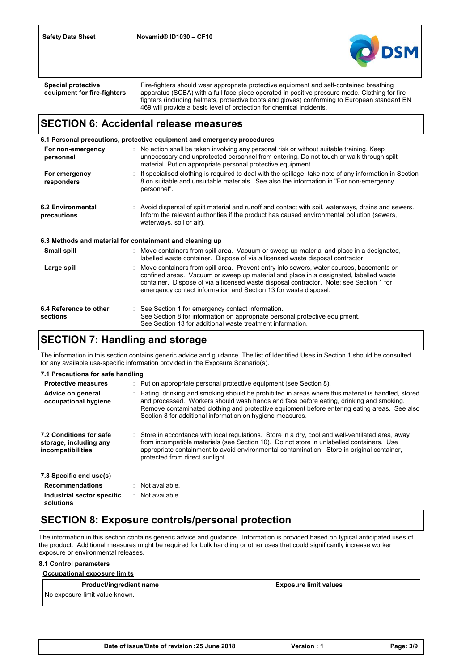

: Fire-fighters should wear appropriate protective equipment and self-contained breathing apparatus (SCBA) with a full face-piece operated in positive pressure mode. Clothing for firefighters (including helmets, protective boots and gloves) conforming to European standard EN 469 will provide a basic level of protection for chemical incidents. **Special protective equipment for fire-fighters**

## **SECTION 6: Accidental release measures**

**6.2 Environmental precautions** Move containers from spill area. Prevent entry into sewers, water courses, basements or confined areas. Vacuum or sweep up material and place in a designated, labelled waste container. Dispose of via a licensed waste disposal contractor. Note: see Section 1 for emergency contact information and Section 13 for waste disposal. : Avoid dispersal of spilt material and runoff and contact with soil, waterways, drains and sewers. Inform the relevant authorities if the product has caused environmental pollution (sewers, waterways, soil or air). **Large spill** : Move containers from spill area. Vacuum or sweep up material and place in a designated, labelled waste container. Dispose of via a licensed waste disposal contractor. **6.3 Methods and material for containment and cleaning up**<br>**Small spill** spill strain a designated.<br>**Small spill** end as Move containers from spill area. Vacuum or sweep up material and place in a designated. **6.1 Personal precautions, protective equipment and emergency procedures For non-emergency personnel** : No action shall be taken involving any personal risk or without suitable training. Keep **For emergency responders** : If specialised clothing is required to deal with the spillage, take note of any information in Section **6.4 Reference to other sections** : See Section 1 for emergency contact information. See Section 8 for information on appropriate personal protective equipment. See Section 13 for additional waste treatment information. unnecessary and unprotected personnel from entering. Do not touch or walk through spilt material. Put on appropriate personal protective equipment. 8 on suitable and unsuitable materials. See also the information in "For non-emergency personnel".

# **SECTION 7: Handling and storage**

The information in this section contains generic advice and guidance. The list of Identified Uses in Section 1 should be consulted for any available use-specific information provided in the Exposure Scenario(s).

| 7.1 Precautions for safe handling                                      |                                                                                                                                                                                                                                                                                                                                                            |  |
|------------------------------------------------------------------------|------------------------------------------------------------------------------------------------------------------------------------------------------------------------------------------------------------------------------------------------------------------------------------------------------------------------------------------------------------|--|
| <b>Protective measures</b>                                             | $\therefore$ Put on appropriate personal protective equipment (see Section 8).                                                                                                                                                                                                                                                                             |  |
| Advice on general<br>occupational hygiene                              | : Eating, drinking and smoking should be prohibited in areas where this material is handled, stored<br>and processed. Workers should wash hands and face before eating, drinking and smoking.<br>Remove contaminated clothing and protective equipment before entering eating areas. See also<br>Section 8 for additional information on hygiene measures. |  |
| 7.2 Conditions for safe<br>storage, including any<br>incompatibilities | : Store in accordance with local regulations. Store in a dry, cool and well-ventilated area, away<br>from incompatible materials (see Section 10). Do not store in unlabelled containers. Use<br>appropriate containment to avoid environmental contamination. Store in original container,<br>protected from direct sunlight.                             |  |
| 7.3 Specific end use(s)                                                |                                                                                                                                                                                                                                                                                                                                                            |  |
| <b>Recommendations</b>                                                 | $\therefore$ Not available.                                                                                                                                                                                                                                                                                                                                |  |
| Industrial sector specific<br>solutions                                | : Not available.                                                                                                                                                                                                                                                                                                                                           |  |

## **SECTION 8: Exposure controls/personal protection**

The information in this section contains generic advice and guidance. Information is provided based on typical anticipated uses of the product. Additional measures might be required for bulk handling or other uses that could significantly increase worker exposure or environmental releases.

### **8.1 Control parameters**

### **Occupational exposure limits**

| Product/ingredient name        | <b>Exposure limit values</b> |
|--------------------------------|------------------------------|
| No exposure limit value known. |                              |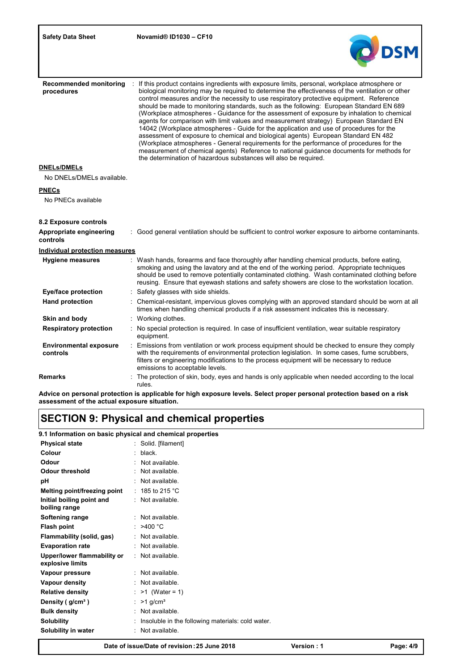

| <b>Recommended monitoring</b><br>procedures | If this product contains ingredients with exposure limits, personal, workplace atmosphere or<br>biological monitoring may be required to determine the effectiveness of the ventilation or other<br>control measures and/or the necessity to use respiratory protective equipment. Reference<br>should be made to monitoring standards, such as the following: European Standard EN 689<br>(Workplace atmospheres - Guidance for the assessment of exposure by inhalation to chemical<br>agents for comparison with limit values and measurement strategy) European Standard EN<br>14042 (Workplace atmospheres - Guide for the application and use of procedures for the<br>assessment of exposure to chemical and biological agents) European Standard EN 482<br>(Workplace atmospheres - General requirements for the performance of procedures for the<br>measurement of chemical agents) Reference to national guidance documents for methods for<br>the determination of hazardous substances will also be required. |
|---------------------------------------------|----------------------------------------------------------------------------------------------------------------------------------------------------------------------------------------------------------------------------------------------------------------------------------------------------------------------------------------------------------------------------------------------------------------------------------------------------------------------------------------------------------------------------------------------------------------------------------------------------------------------------------------------------------------------------------------------------------------------------------------------------------------------------------------------------------------------------------------------------------------------------------------------------------------------------------------------------------------------------------------------------------------------------|
| <b>DNELs/DMELs</b>                          |                                                                                                                                                                                                                                                                                                                                                                                                                                                                                                                                                                                                                                                                                                                                                                                                                                                                                                                                                                                                                            |
| No DNELs/DMELs available.                   |                                                                                                                                                                                                                                                                                                                                                                                                                                                                                                                                                                                                                                                                                                                                                                                                                                                                                                                                                                                                                            |
| <b>PNECs</b>                                |                                                                                                                                                                                                                                                                                                                                                                                                                                                                                                                                                                                                                                                                                                                                                                                                                                                                                                                                                                                                                            |
| No PNECs available                          |                                                                                                                                                                                                                                                                                                                                                                                                                                                                                                                                                                                                                                                                                                                                                                                                                                                                                                                                                                                                                            |
| 8.2 Exposure controls                       |                                                                                                                                                                                                                                                                                                                                                                                                                                                                                                                                                                                                                                                                                                                                                                                                                                                                                                                                                                                                                            |
| Appropriate engineering<br>controls         | : Good general ventilation should be sufficient to control worker exposure to airborne contaminants.                                                                                                                                                                                                                                                                                                                                                                                                                                                                                                                                                                                                                                                                                                                                                                                                                                                                                                                       |
| <b>Individual protection measures</b>       |                                                                                                                                                                                                                                                                                                                                                                                                                                                                                                                                                                                                                                                                                                                                                                                                                                                                                                                                                                                                                            |
| <b>Hygiene measures</b>                     | Wash hands, forearms and face thoroughly after handling chemical products, before eating,<br>smoking and using the lavatory and at the end of the working period. Appropriate techniques<br>should be used to remove potentially contaminated clothing. Wash contaminated clothing before<br>reusing. Ensure that eyewash stations and safety showers are close to the workstation location.                                                                                                                                                                                                                                                                                                                                                                                                                                                                                                                                                                                                                               |
| Eye/face protection                         | Safety glasses with side shields.                                                                                                                                                                                                                                                                                                                                                                                                                                                                                                                                                                                                                                                                                                                                                                                                                                                                                                                                                                                          |
| <b>Hand protection</b>                      | Chemical-resistant, impervious gloves complying with an approved standard should be worn at all<br>times when handling chemical products if a risk assessment indicates this is necessary.                                                                                                                                                                                                                                                                                                                                                                                                                                                                                                                                                                                                                                                                                                                                                                                                                                 |
| Skin and body                               | : Working clothes.                                                                                                                                                                                                                                                                                                                                                                                                                                                                                                                                                                                                                                                                                                                                                                                                                                                                                                                                                                                                         |
| <b>Respiratory protection</b>               | No special protection is required. In case of insufficient ventilation, wear suitable respiratory<br>equipment.                                                                                                                                                                                                                                                                                                                                                                                                                                                                                                                                                                                                                                                                                                                                                                                                                                                                                                            |
| <b>Environmental exposure</b><br>controls   | Emissions from ventilation or work process equipment should be checked to ensure they comply<br>with the requirements of environmental protection legislation. In some cases, fume scrubbers,<br>filters or engineering modifications to the process equipment will be necessary to reduce<br>emissions to acceptable levels.                                                                                                                                                                                                                                                                                                                                                                                                                                                                                                                                                                                                                                                                                              |
| Remarks                                     | The protection of skin, body, eyes and hands is only applicable when needed according to the local<br>rules.                                                                                                                                                                                                                                                                                                                                                                                                                                                                                                                                                                                                                                                                                                                                                                                                                                                                                                               |

**Advice on personal protection is applicable for high exposure levels. Select proper personal protection based on a risk assessment of the actual exposure situation.**

# **SECTION 9: Physical and chemical properties**

**9.1 Information on basic physical and chemical properties**

| <b>Physical state</b>                           | : Solid. [filament]                               |
|-------------------------------------------------|---------------------------------------------------|
| Colour                                          | $:$ black.                                        |
| Odour                                           | Not available.                                    |
| Odour threshold                                 | : Not available.                                  |
| рH                                              | $:$ Not available.                                |
| Melting point/freezing point                    | : 185 to 215 $^{\circ}$ C                         |
| Initial boiling point and<br>boiling range      | : Not available.                                  |
| Softening range                                 | : Not available.                                  |
| Flash point                                     | : $>400^{\circ}$ C                                |
| Flammability (solid, gas)                       | : Not available.                                  |
| <b>Evaporation rate</b>                         | $:$ Not available.                                |
| Upper/lower flammability or<br>explosive limits | : Not available.                                  |
| Vapour pressure                                 | $:$ Not available.                                |
| Vapour density                                  | $\therefore$ Not available.                       |
| <b>Relative density</b>                         | : $>1$ (Water = 1)                                |
| Density (g/cm <sup>3</sup> )                    | : $>1$ g/cm <sup>3</sup>                          |
| <b>Bulk density</b>                             | Not available.                                    |
| <b>Solubility</b>                               | Insoluble in the following materials: cold water. |
| Solubility in water                             | Not available.                                    |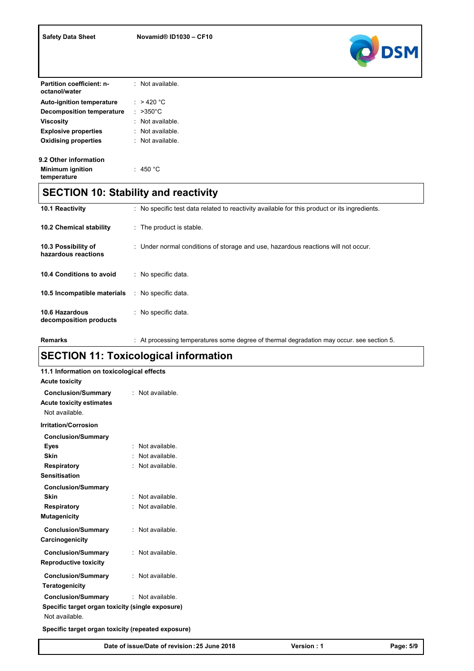

| <b>Partition coefficient: n-</b><br>octanol/water | $:$ Not available.     |
|---------------------------------------------------|------------------------|
| <b>Auto-ignition temperature</b>                  | : $>420 °C$            |
| <b>Decomposition temperature</b>                  | : $>350^{\circ}$ C     |
| Viscosity                                         | Not available.         |
| <b>Explosive properties</b>                       | $\cdot$ Not available. |
| <b>Oxidising properties</b>                       | $\cdot$ Not available. |
| 9.2 Other information                             |                        |
| <b>Minimum ignition</b><br>temperature            | $:~$ 450 °C            |

# **SECTION 10: Stability and reactivity**

| <b>10.1 Reactivity</b>                     | No specific test data related to reactivity available for this product or its ingredients. |
|--------------------------------------------|--------------------------------------------------------------------------------------------|
| <b>10.2 Chemical stability</b>             | $\therefore$ The product is stable.                                                        |
| 10.3 Possibility of<br>hazardous reactions | : Under normal conditions of storage and use, hazardous reactions will not occur.          |
| 10.4 Conditions to avoid                   | : No specific data.                                                                        |
| 10.5 Incompatible materials                | : No specific data.                                                                        |
| 10.6 Hazardous<br>decomposition products   | : No specific data.                                                                        |

Remarks : At processing temperatures some degree of thermal degradation may occur. see section 5.

# **SECTION 11: Toxicological information**

| 11.1 Information on toxicological effects<br><b>Acute toxicity</b>             |  |                    |  |  |
|--------------------------------------------------------------------------------|--|--------------------|--|--|
| <b>Conclusion/Summary</b><br><b>Acute toxicity estimates</b><br>Not available. |  | : Not available.   |  |  |
| <b>Irritation/Corrosion</b>                                                    |  |                    |  |  |
| <b>Conclusion/Summary</b>                                                      |  |                    |  |  |
| <b>Eyes</b>                                                                    |  | Not available.     |  |  |
| <b>Skin</b>                                                                    |  | Not available.     |  |  |
| <b>Respiratory</b>                                                             |  | : Not available.   |  |  |
| <b>Sensitisation</b>                                                           |  |                    |  |  |
| <b>Conclusion/Summary</b>                                                      |  |                    |  |  |
| Skin                                                                           |  | Not available.     |  |  |
| Respiratory                                                                    |  | : Not available.   |  |  |
| <b>Mutagenicity</b>                                                            |  |                    |  |  |
| <b>Conclusion/Summary</b>                                                      |  | : Not available.   |  |  |
| Carcinogenicity                                                                |  |                    |  |  |
| <b>Conclusion/Summary</b>                                                      |  | : Not available.   |  |  |
| <b>Reproductive toxicity</b>                                                   |  |                    |  |  |
| <b>Conclusion/Summary</b>                                                      |  | : Not available.   |  |  |
| <b>Teratogenicity</b>                                                          |  |                    |  |  |
|                                                                                |  |                    |  |  |
| <b>Conclusion/Summary</b>                                                      |  | $:$ Not available. |  |  |
| Specific target organ toxicity (single exposure)<br>Not available.             |  |                    |  |  |
| Specific target organ toxicity (repeated exposure)                             |  |                    |  |  |

**Date of issue/Date of revision :25 June 2018 Version : 1 Page: 5/9**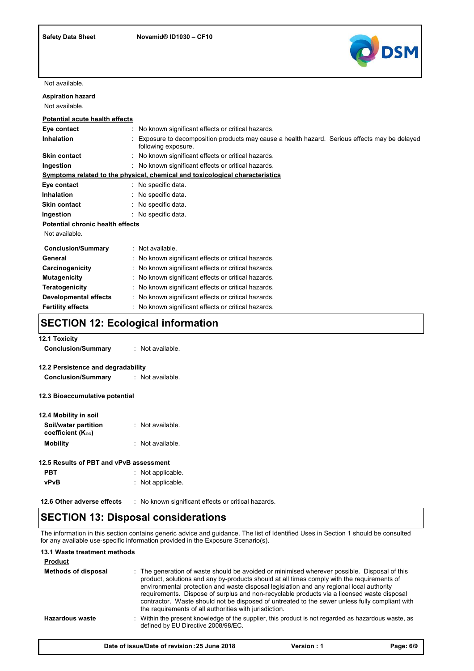

Not available.

| <b>Aspiration hazard</b><br>Not available. |                                                                                                                     |
|--------------------------------------------|---------------------------------------------------------------------------------------------------------------------|
|                                            |                                                                                                                     |
| <b>Potential acute health effects</b>      |                                                                                                                     |
| Eye contact                                | No known significant effects or critical hazards.                                                                   |
| Inhalation                                 | Exposure to decomposition products may cause a health hazard. Serious effects may be delayed<br>following exposure. |
| <b>Skin contact</b>                        | No known significant effects or critical hazards.                                                                   |
| Ingestion                                  | : No known significant effects or critical hazards.                                                                 |
|                                            | Symptoms related to the physical, chemical and toxicological characteristics                                        |
| Eye contact                                | : No specific data.                                                                                                 |
| <b>Inhalation</b>                          | : No specific data.                                                                                                 |
| <b>Skin contact</b>                        | : No specific data.                                                                                                 |
| Ingestion                                  | : No specific data.                                                                                                 |
| <b>Potential chronic health effects</b>    |                                                                                                                     |
| Not available.                             |                                                                                                                     |
| <b>Conclusion/Summary</b>                  | : Not available.                                                                                                    |
| General                                    | No known significant effects or critical hazards.                                                                   |
| Carcinogenicity                            | : No known significant effects or critical hazards.                                                                 |
| <b>Mutagenicity</b>                        | No known significant effects or critical hazards.                                                                   |
| <b>Teratogenicity</b>                      | No known significant effects or critical hazards.                                                                   |
| <b>Developmental effects</b>               | No known significant effects or critical hazards.                                                                   |
| <b>Fertility effects</b>                   | No known significant effects or critical hazards.                                                                   |

# **SECTION 12: Ecological information**

| <b>Conclusion/Summary</b> | Not available. |
|---------------------------|----------------|

### **12.2 Persistence and degradability**

| <b>Conclusion/Summary</b> | Not available. |
|---------------------------|----------------|
|---------------------------|----------------|

**12.3 Bioaccumulative potential**

| 12.4 Mobility in soil                          |                  |
|------------------------------------------------|------------------|
| Soil/water partition<br>coefficient $(K_{oc})$ | : Not available. |
| <b>Mobility</b>                                | : Not available. |

### **12.5 Results of PBT and vPvB assessment**

| <b>PBT</b>  | $\therefore$ Not applicable. |  |
|-------------|------------------------------|--|
| <b>vPvB</b> | $\therefore$ Not applicable. |  |

**12.6 Other adverse effects** : No known significant effects or critical hazards.

## **SECTION 13: Disposal considerations**

The information in this section contains generic advice and guidance. The list of Identified Uses in Section 1 should be consulted for any available use-specific information provided in the Exposure Scenario(s).

### **13.1 Waste treatment methods**

| <b>Product</b>             |                                                                                                                                                                                                                                                                                                                                                                                                                                                                                                                                                  |
|----------------------------|--------------------------------------------------------------------------------------------------------------------------------------------------------------------------------------------------------------------------------------------------------------------------------------------------------------------------------------------------------------------------------------------------------------------------------------------------------------------------------------------------------------------------------------------------|
| <b>Methods of disposal</b> | : The generation of waste should be avoided or minimised wherever possible. Disposal of this<br>product, solutions and any by-products should at all times comply with the requirements of<br>environmental protection and waste disposal legislation and any regional local authority<br>requirements. Dispose of surplus and non-recyclable products via a licensed waste disposal<br>contractor. Waste should not be disposed of untreated to the sewer unless fully compliant with<br>the requirements of all authorities with jurisdiction. |
| Hazardous waste            | : Within the present knowledge of the supplier, this product is not regarded as hazardous waste, as<br>defined by EU Directive 2008/98/EC.                                                                                                                                                                                                                                                                                                                                                                                                       |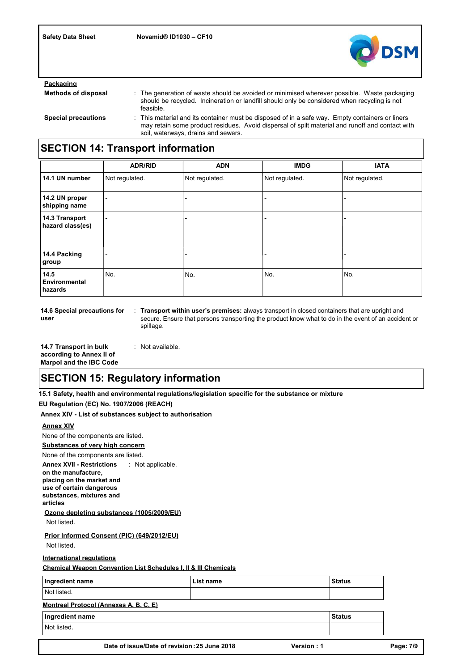

| Packaging                  |                                                                                                                                                                                                                                           |
|----------------------------|-------------------------------------------------------------------------------------------------------------------------------------------------------------------------------------------------------------------------------------------|
| <b>Methods of disposal</b> | : The generation of waste should be avoided or minimised wherever possible. Waste packaging<br>should be recycled. Incineration or landfill should only be considered when recycling is not<br>feasible.                                  |
| <b>Special precautions</b> | : This material and its container must be disposed of in a safe way. Empty containers or liners<br>may retain some product residues. Avoid dispersal of spilt material and runoff and contact with<br>soil, waterways, drains and sewers. |

# **SECTION 14: Transport information**

|                                    | <b>ADR/RID</b> | <b>ADN</b>     | <b>IMDG</b>    | <b>IATA</b>    |
|------------------------------------|----------------|----------------|----------------|----------------|
| 14.1 UN number                     | Not regulated. | Not regulated. | Not regulated. | Not regulated. |
| 14.2 UN proper<br>shipping name    | ٠              |                |                |                |
| 14.3 Transport<br>hazard class(es) |                |                |                |                |
| 14.4 Packing<br>group              | ۰              | -              | -              | -              |
| 14.5<br>Environmental<br>hazards   | No.            | No.            | No.            | No.            |

**14.6 Special precautions for user**

: **Transport within user's premises:** always transport in closed containers that are upright and secure. Ensure that persons transporting the product know what to do in the event of an accident or spillage.

**14.7 Transport in bulk according to Annex II of Marpol and the IBC Code** : Not available.

## **SECTION 15: Regulatory information**

**15.1 Safety, health and environmental regulations/legislation specific for the substance or mixture**

**EU Regulation (EC) No. 1907/2006 (REACH)**

**Annex XIV - List of substances subject to authorisation**

### **Annex XIV**

None of the components are listed.

**Substances of very high concern**

None of the components are listed.

**Annex XVII - Restrictions on the manufacture, placing on the market and**  : Not applicable.

**use of certain dangerous substances, mixtures and articles**

**Ozone depleting substances (1005/2009/EU)**

Not listed.

Not listed. **Prior Informed Consent (PIC) (649/2012/EU)**

**International regulations**

**Chemical Weapon Convention List Schedules I, II & III Chemicals**

| Ingredient name                        |                                              | List name |            | <b>Status</b> |
|----------------------------------------|----------------------------------------------|-----------|------------|---------------|
| Not listed.                            |                                              |           |            |               |
| Montreal Protocol (Annexes A, B, C, E) |                                              |           |            |               |
| Ingredient name                        |                                              |           |            | <b>Status</b> |
| Not listed.                            |                                              |           |            |               |
|                                        |                                              |           |            |               |
|                                        | Date of issue/Date of revision: 25 June 2018 |           | Version: 1 |               |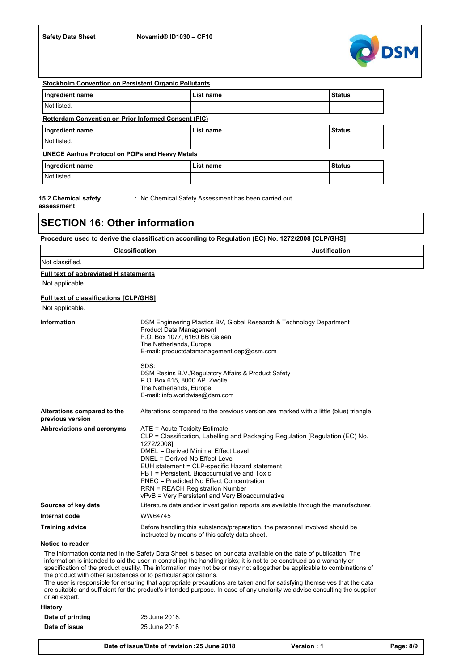

| <b>Stockholm Convention on Persistent Organic Pollutants</b> |           |               |  |  |  |  |
|--------------------------------------------------------------|-----------|---------------|--|--|--|--|
| Ingredient name                                              | List name | <b>Status</b> |  |  |  |  |
| Not listed.                                                  |           |               |  |  |  |  |
| <b>Rotterdam Convention on Prior Informed Consent (PIC)</b>  |           |               |  |  |  |  |
| Ingredient name                                              | List name | <b>Status</b> |  |  |  |  |
| Not listed.                                                  |           |               |  |  |  |  |
| <b>UNECE Aarhus Protocol on POPs and Heavy Metals</b>        |           |               |  |  |  |  |
| Ingredient name                                              | List name | <b>Status</b> |  |  |  |  |
| Not listed.                                                  |           |               |  |  |  |  |

**15.2 Chemical safety** 

: No Chemical Safety Assessment has been carried out.

**assessment**

### **SECTION 16: Other information**

### **Procedure used to derive the classification according to Regulation (EC) No. 1272/2008 [CLP/GHS]**

| Classification  | ification |
|-----------------|-----------|
| Not classified. |           |

### **Full text of abbreviated H statements**

Not applicable.

### **Full text of classifications [CLP/GHS]**

Not applicable.

| <b>Information</b>                              |  | : DSM Engineering Plastics BV, Global Research & Technology Department<br>Product Data Management<br>P.O. Box 1077, 6160 BB Geleen<br>The Netherlands, Europe<br>E-mail: productdatamanagement.dep@dsm.com                                                                                                                                                                                                                                                  |
|-------------------------------------------------|--|-------------------------------------------------------------------------------------------------------------------------------------------------------------------------------------------------------------------------------------------------------------------------------------------------------------------------------------------------------------------------------------------------------------------------------------------------------------|
|                                                 |  | SDS:<br>DSM Resins B.V./Regulatory Affairs & Product Safety<br>P.O. Box 615, 8000 AP Zwolle<br>The Netherlands, Europe<br>E-mail: info.worldwise@dsm.com                                                                                                                                                                                                                                                                                                    |
| Alterations compared to the<br>previous version |  | : Alterations compared to the previous version are marked with a little (blue) triangle.                                                                                                                                                                                                                                                                                                                                                                    |
| Abbreviations and acronyms                      |  | $\therefore$ ATE = Acute Toxicity Estimate<br>CLP = Classification, Labelling and Packaging Regulation [Regulation (EC) No.<br>1272/20081<br>DMEL = Derived Minimal Effect Level<br>DNEL = Derived No Effect Level<br>EUH statement = CLP-specific Hazard statement<br>PBT = Persistent. Bioaccumulative and Toxic<br>PNEC = Predicted No Effect Concentration<br><b>RRN = REACH Registration Number</b><br>vPvB = Very Persistent and Very Bioaccumulative |
| Sources of key data                             |  | $\therefore$ Literature data and/or investigation reports are available through the manufacturer.                                                                                                                                                                                                                                                                                                                                                           |
| Internal code                                   |  | WW64745                                                                                                                                                                                                                                                                                                                                                                                                                                                     |
| <b>Training advice</b>                          |  | : Before handling this substance/preparation, the personnel involved should be<br>instructed by means of this safety data sheet.                                                                                                                                                                                                                                                                                                                            |

### **Notice to reader**

**History** The information contained in the Safety Data Sheet is based on our data available on the date of publication. The information is intended to aid the user in controlling the handling risks; it is not to be construed as a warranty or specification of the product quality. The information may not be or may not altogether be applicable to combinations of the product with other substances or to particular applications. The user is responsible for ensuring that appropriate precautions are taken and for satisfying themselves that the data are suitable and sufficient for the product's intended purpose. In case of any unclarity we advise consulting the supplier or an expert.

| Date of printing | $: 25$ June 2018. |
|------------------|-------------------|
| Date of issue    | $: 25$ June 2018  |